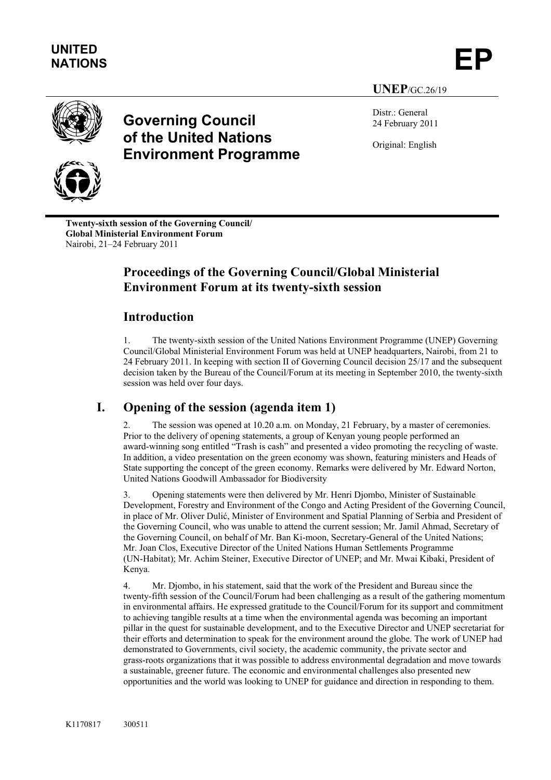



# **Governing Council of the United Nations Environment Programme**

Distr.: General 24 February 2011

**UNEP**/GC.26/19

Original: English



**Twenty-sixth session of the Governing Council/ Global Ministerial Environment Forum**  Nairobi, 21–24 February 2011

# **Proceedings of the Governing Council/Global Ministerial Environment Forum at its twenty-sixth session**

## **Introduction**

1. The twenty-sixth session of the United Nations Environment Programme (UNEP) Governing Council/Global Ministerial Environment Forum was held at UNEP headquarters, Nairobi, from 21 to 24 February 2011. In keeping with section II of Governing Council decision 25/17 and the subsequent decision taken by the Bureau of the Council/Forum at its meeting in September 2010, the twenty-sixth session was held over four days.

## **I. Opening of the session (agenda item 1)**

2. The session was opened at 10.20 a.m. on Monday, 21 February, by a master of ceremonies. Prior to the delivery of opening statements, a group of Kenyan young people performed an award-winning song entitled "Trash is cash" and presented a video promoting the recycling of waste. In addition, a video presentation on the green economy was shown, featuring ministers and Heads of State supporting the concept of the green economy. Remarks were delivered by Mr. Edward Norton, United Nations Goodwill Ambassador for Biodiversity

3. Opening statements were then delivered by Mr. Henri Djombo, Minister of Sustainable Development, Forestry and Environment of the Congo and Acting President of the Governing Council, in place of Mr. Oliver Dulić, Minister of Environment and Spatial Planning of Serbia and President of the Governing Council, who was unable to attend the current session; Mr. Jamil Ahmad, Secretary of the Governing Council, on behalf of Mr. Ban Ki-moon, Secretary-General of the United Nations; Mr. Joan Clos, Executive Director of the United Nations Human Settlements Programme (UN-Habitat); Mr. Achim Steiner, Executive Director of UNEP; and Mr. Mwai Kibaki, President of Kenya.

4. Mr. Djombo, in his statement, said that the work of the President and Bureau since the twenty-fifth session of the Council/Forum had been challenging as a result of the gathering momentum in environmental affairs. He expressed gratitude to the Council/Forum for its support and commitment to achieving tangible results at a time when the environmental agenda was becoming an important pillar in the quest for sustainable development, and to the Executive Director and UNEP secretariat for their efforts and determination to speak for the environment around the globe. The work of UNEP had demonstrated to Governments, civil society, the academic community, the private sector and grass-roots organizations that it was possible to address environmental degradation and move towards a sustainable, greener future. The economic and environmental challenges also presented new opportunities and the world was looking to UNEP for guidance and direction in responding to them.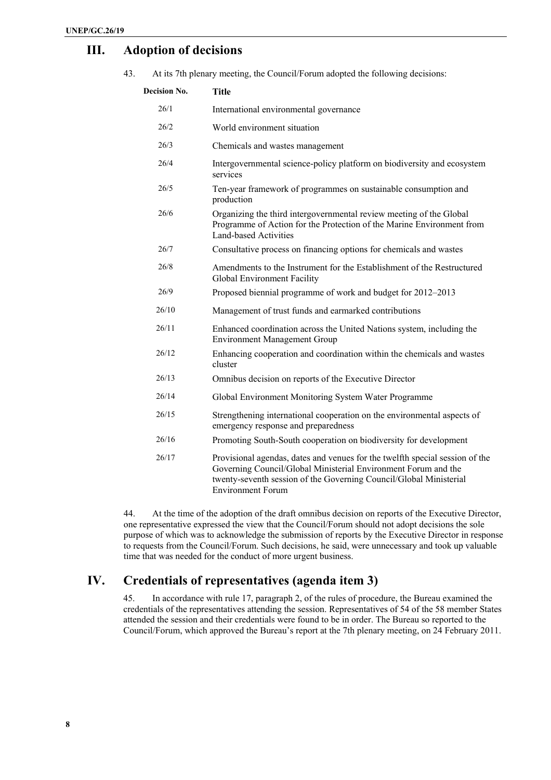### **III. Adoption of decisions**

43. At its 7th plenary meeting, the Council/Forum adopted the following decisions:

| <b>Decision No.</b> | <b>Title</b>                                                                                                                                                                                                                                     |
|---------------------|--------------------------------------------------------------------------------------------------------------------------------------------------------------------------------------------------------------------------------------------------|
| 26/1                | International environmental governance                                                                                                                                                                                                           |
| 26/2                | World environment situation                                                                                                                                                                                                                      |
| 26/3                | Chemicals and wastes management                                                                                                                                                                                                                  |
| 26/4                | Intergovernmental science-policy platform on biodiversity and ecosystem<br>services                                                                                                                                                              |
| 26/5                | Ten-year framework of programmes on sustainable consumption and<br>production                                                                                                                                                                    |
| 26/6                | Organizing the third intergovernmental review meeting of the Global<br>Programme of Action for the Protection of the Marine Environment from<br><b>Land-based Activities</b>                                                                     |
| 26/7                | Consultative process on financing options for chemicals and wastes                                                                                                                                                                               |
| 26/8                | Amendments to the Instrument for the Establishment of the Restructured<br>Global Environment Facility                                                                                                                                            |
| 26/9                | Proposed biennial programme of work and budget for 2012–2013                                                                                                                                                                                     |
| 26/10               | Management of trust funds and earmarked contributions                                                                                                                                                                                            |
| 26/11               | Enhanced coordination across the United Nations system, including the<br><b>Environment Management Group</b>                                                                                                                                     |
| 26/12               | Enhancing cooperation and coordination within the chemicals and wastes<br>cluster                                                                                                                                                                |
| 26/13               | Omnibus decision on reports of the Executive Director                                                                                                                                                                                            |
| 26/14               | Global Environment Monitoring System Water Programme                                                                                                                                                                                             |
| 26/15               | Strengthening international cooperation on the environmental aspects of<br>emergency response and preparedness                                                                                                                                   |
| 26/16               | Promoting South-South cooperation on biodiversity for development                                                                                                                                                                                |
| 26/17               | Provisional agendas, dates and venues for the twelfth special session of the<br>Governing Council/Global Ministerial Environment Forum and the<br>twenty-seventh session of the Governing Council/Global Ministerial<br><b>Environment Forum</b> |
|                     |                                                                                                                                                                                                                                                  |

44. At the time of the adoption of the draft omnibus decision on reports of the Executive Director, one representative expressed the view that the Council/Forum should not adopt decisions the sole purpose of which was to acknowledge the submission of reports by the Executive Director in response to requests from the Council/Forum. Such decisions, he said, were unnecessary and took up valuable time that was needed for the conduct of more urgent business.

### **IV. Credentials of representatives (agenda item 3)**

45. In accordance with rule 17, paragraph 2, of the rules of procedure, the Bureau examined the credentials of the representatives attending the session. Representatives of 54 of the 58 member States attended the session and their credentials were found to be in order. The Bureau so reported to the Council/Forum, which approved the Bureau's report at the 7th plenary meeting, on 24 February 2011.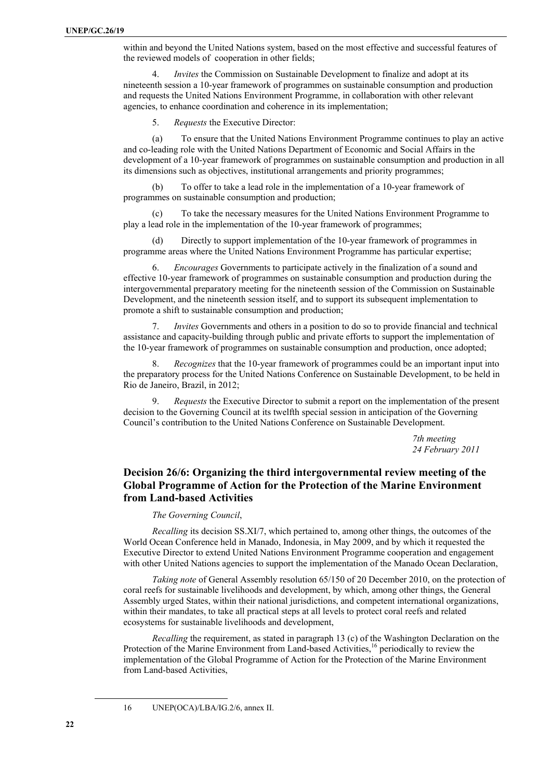within and beyond the United Nations system, based on the most effective and successful features of the reviewed models of cooperation in other fields;

4. *Invites* the Commission on Sustainable Development to finalize and adopt at its nineteenth session a 10-year framework of programmes on sustainable consumption and production and requests the United Nations Environment Programme, in collaboration with other relevant agencies, to enhance coordination and coherence in its implementation;

5. *Requests* the Executive Director:

(a) To ensure that the United Nations Environment Programme continues to play an active and co-leading role with the United Nations Department of Economic and Social Affairs in the development of a 10-year framework of programmes on sustainable consumption and production in all its dimensions such as objectives, institutional arrangements and priority programmes;

(b) To offer to take a lead role in the implementation of a 10-year framework of programmes on sustainable consumption and production;

(c) To take the necessary measures for the United Nations Environment Programme to play a lead role in the implementation of the 10-year framework of programmes;

(d) Directly to support implementation of the 10-year framework of programmes in programme areas where the United Nations Environment Programme has particular expertise;

6. *Encourages* Governments to participate actively in the finalization of a sound and effective 10-year framework of programmes on sustainable consumption and production during the intergovernmental preparatory meeting for the nineteenth session of the Commission on Sustainable Development, and the nineteenth session itself, and to support its subsequent implementation to promote a shift to sustainable consumption and production;

7. *Invites* Governments and others in a position to do so to provide financial and technical assistance and capacity-building through public and private efforts to support the implementation of the 10-year framework of programmes on sustainable consumption and production, once adopted;

8. *Recognizes* that the 10-year framework of programmes could be an important input into the preparatory process for the United Nations Conference on Sustainable Development, to be held in Rio de Janeiro, Brazil, in 2012;

9. *Requests* the Executive Director to submit a report on the implementation of the present decision to the Governing Council at its twelfth special session in anticipation of the Governing Council's contribution to the United Nations Conference on Sustainable Development.

> *7th meeting 24 February 2011*

#### **Decision 26/6: Organizing the third intergovernmental review meeting of the Global Programme of Action for the Protection of the Marine Environment from Land-based Activities**

#### *The Governing Council*,

*Recalling* its decision SS.XI/7, which pertained to, among other things, the outcomes of the World Ocean Conference held in Manado, Indonesia, in May 2009, and by which it requested the Executive Director to extend United Nations Environment Programme cooperation and engagement with other United Nations agencies to support the implementation of the Manado Ocean Declaration.

*Taking note* of General Assembly resolution 65/150 of 20 December 2010, on the protection of coral reefs for sustainable livelihoods and development, by which, among other things, the General Assembly urged States, within their national jurisdictions, and competent international organizations, within their mandates, to take all practical steps at all levels to protect coral reefs and related ecosystems for sustainable livelihoods and development,

*Recalling* the requirement, as stated in paragraph 13 (c) of the Washington Declaration on the Protection of the Marine Environment from Land-based Activities,<sup>16</sup> periodically to review the implementation of the Global Programme of Action for the Protection of the Marine Environment from Land-based Activities,

l

<sup>16</sup> UNEP(OCA)/LBA/IG.2/6, annex II.